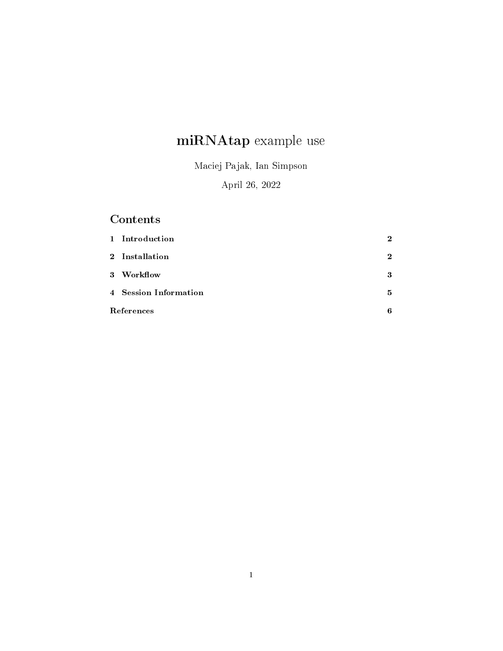# miRNAtap example use

Maciej Pajak, Ian Simpson

### April 26, 2022

## Contents

|       | 1 Introduction        | $\overline{2}$ |  |
|-------|-----------------------|----------------|--|
|       | 2 Installation        | $\mathbf{2}$   |  |
| $3 -$ | Workflow              | 3              |  |
|       | 4 Session Information | 5              |  |
|       | References            |                |  |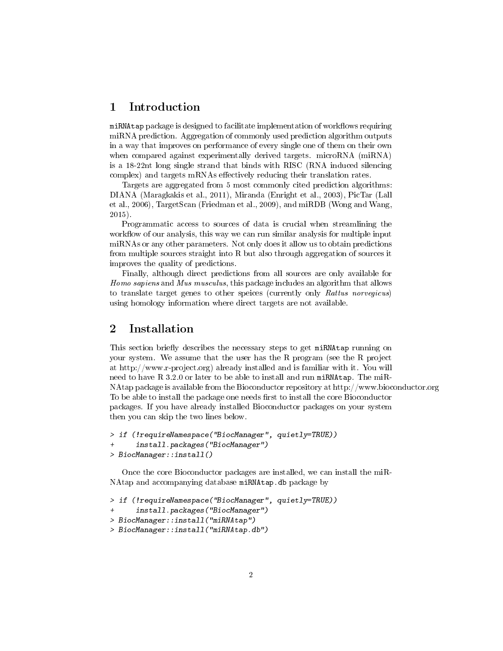#### 1 Introduction

miRNAtap package is designed to facilitate implementation of workflows requiring miRNA prediction. Aggregation of commonly used prediction algorithm outputs in a way that improves on performance of every single one of them on their own when compared against experimentally derived targets. microRNA (miRNA) is a 18-22nt long single strand that binds with RISC (RNA induced silencing  $complex)$  and targets mRNAs effectively reducing their translation rates.

Targets are aggregated from 5 most commonly cited prediction algorithms: DIANA (Maragkakis et al., 2011), Miranda (Enright et al., 2003), PicTar (Lall et al., 2006), TargetScan (Friedman et al., 2009), and miRDB (Wong and Wang, 2015).

Programmatic access to sources of data is crucial when streamlining the workflow of our analysis, this way we can run similar analysis for multiple input miRNAs or any other parameters. Not only does it allow us to obtain predictions from multiple sources straight into R but also through aggregation of sources it improves the quality of predictions.

Finally, although direct predictions from all sources are only available for Homo sapiens and Mus musculus, this package includes an algorithm that allows to translate target genes to other speices (currently only Rattus norvegicus) using homology information where direct targets are not available.

#### 2 Installation

This section briefly describes the necessary steps to get miRNAtap running on your system. We assume that the user has the R program (see the R project at http://www.r-project.org) already installed and is familiar with it. You will need to have R 3.2.0 or later to be able to install and run miRNAtap. The miR-NAtap package is available from the Bioconductor repository at http://www.bioconductor.org To be able to install the package one needs first to install the core Bioconductor packages. If you have already installed Bioconductor packages on your system then you can skip the two lines below.

```
> if (!requireNamespace("BiocManager", quietly=TRUE))
      install.packages("BiocManager")
> BiocManager::install()
```
Once the core Bioconductor packages are installed, we can install the miR-NAtap and accompanying database miRNAtap.db package by

> if (!requireNamespace("BiocManager", quietly=TRUE))

```
install.packages("BiocManager")
```

```
> BiocManager::install("miRNAtap")
```
> BiocManager::install("miRNAtap.db")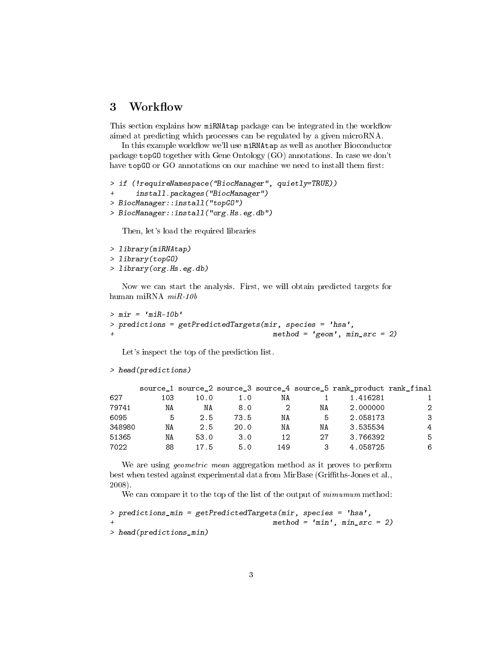#### 3 Workflow

This section explains how miRNAtap package can be integrated in the workflow aimed at predicting which processes can be regulated by a given microRNA.

In this example workflow we'll use miRNAtap as well as another Bioconductor package topGO together with Gene Ontology (GO) annotations. In case we don't have topGO or GO annotations on our machine we need to install them first:

```
> if (!requireNamespace("BiocManager", quietly=TRUE))
      install.packages("BiocManager")
> BiocManager::install("topGO")
> BiocManager::install("org.Hs.eg.db")
```
Then, let's load the required libraries

```
> library(miRNAtap)
> library(topGO)
> library(org.Hs.eg.db)
```
Now we can start the analysis. First, we will obtain predicted targets for human miRNA miR-10b

```
> mir = 'miR-10b'> predictions = getPredictedTargets(mir, species = 'hsa',
+ method = 'geom', min_src = 2)
```
Let's inspect the top of the prediction list.

```
> head(predictions)
```

|        |     |      |      |     |    | source_1 source_2 source_3 source_4 source_5 rank_product rank_final |   |
|--------|-----|------|------|-----|----|----------------------------------------------------------------------|---|
| 627    | 103 | 10.0 | 1.0  | NΑ  |    | 1.416281                                                             |   |
| 79741  | ΝA  | ΝA   | 8.0  | 2   | ΝA | 2.000000                                                             | 2 |
| 6095   | 5   | 2.5  | 73.5 | ΝA  | 5  | 2.058173                                                             | 3 |
| 348980 | ΝA  | 2.5  | 20.0 | ΝA  | ΝA | 3.535534                                                             | 4 |
| 51365  | ΝA  | 53.0 | 3.0  | 12  | 27 | 3.766392                                                             | 5 |
| 7022   | 88  | 17.5 | 5.0  | 149 | 3  | 4.058725                                                             | 6 |

We are using geometric mean aggregation method as it proves to perform best when tested against experimental data from MirBase (Griths-Jones et al., 2008).

We can compare it to the top of the list of the output of  $minimum$  method:

```
> predictions_min = getPredictedTargets(mir, species = 'hsa',
+ method = 'min', min_src = 2)
> head(predictions_min)
```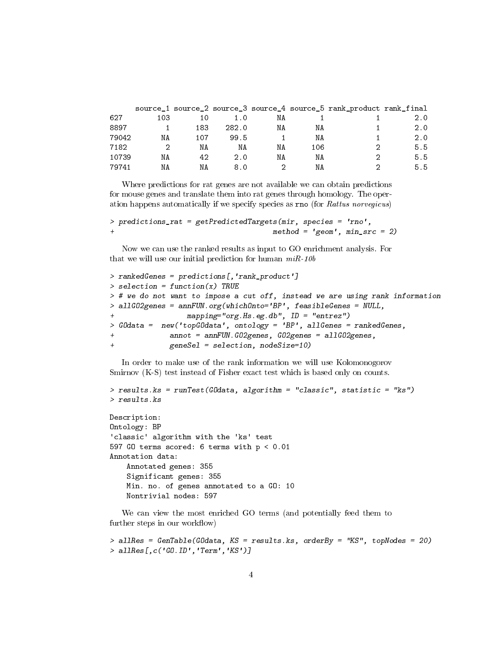|       |     |     |       |    |     | source_1 source_2 source_3 source_4 source_5 rank_product rank_final |     |
|-------|-----|-----|-------|----|-----|----------------------------------------------------------------------|-----|
| 627   | 103 |     |       | ΝA |     |                                                                      | 2.0 |
| 8897  |     | 183 | 282.0 | ΝA | ΝA  |                                                                      | 2.0 |
| 79042 | ΝA  | 107 | 99.5  |    | ΝA  |                                                                      | 2.0 |
| 7182  |     | ΝA  | ΝA    | ΝA | 106 |                                                                      | 5.5 |
| 10739 | NΑ  | 42  | 2.0   | ΝA | ΝA  |                                                                      | 5.5 |
| 79741 | NΑ  | NΑ  | 8 O   |    | NΑ  |                                                                      | 5.5 |

Where predictions for rat genes are not available we can obtain predictions for mouse genes and translate them into rat genes through homology. The operation happens automatically if we specify species as rno (for Rattus norvegicus)

```
> predictions_rat = getPredictedTargets(mir, species = 'rno',
                                      method = 'geom', min\_src = 2)
```
Now we can use the ranked results as input to GO enrichment analysis. For that we will use our initial prediction for human  $m$ *iR-10b* 

```
> rankedGenes = predictions[,'rank_product']
> selection = function(x) TRUE
> # we do not want to impose a cut off, instead we are using rank information
> allGO2genes = annFUN.org(whichOnto='BP', feasibleGenes = NULL,
                 mapping='org.Hs.eg.db", ID = "entrez")> GOdata = new('topGOdata', ontology = 'BP', allGenes = rankedGenes,
              annot = annFWN.GO2genes, GO2genes = a11GO2genes,geneSel = selection, nodesize=10)
```
In order to make use of the rank information we will use Kolomonogorov Smirnov  $(K-S)$  test instead of Fisher exact test which is based only on counts.

```
> results.ks = runTest(GOdata, algorithm = "classic", statistic = "ks")
> results.ks
```

```
Description:
Ontology: BP
'classic' algorithm with the 'ks' test
597 GO terms scored: 6 terms with p < 0.01
Annotation data:
   Annotated genes: 355
    Significant genes: 355
   Min. no. of genes annotated to a GO: 10
   Nontrivial nodes: 597
```
We can view the most enriched GO terms (and potentially feed them to further steps in our workflow)

```
> allRes = GenTable(GOdata, KS = results.ks, orderBy = "KS", topNodes = 20)
> allRes[,c('GO.ID','Term','KS')]
```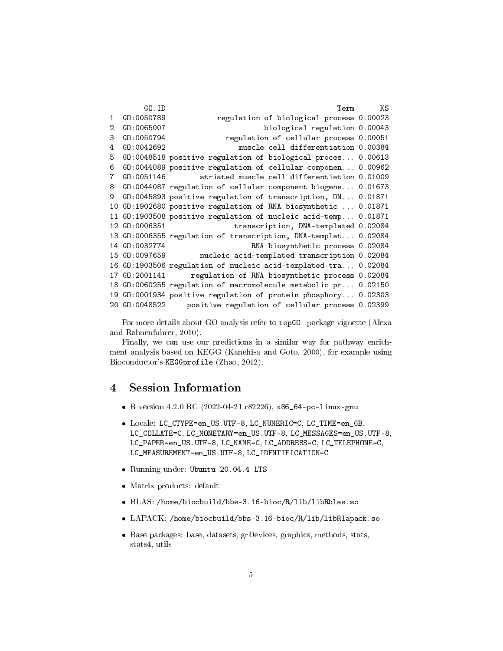```
GO.ID Term KS
1 GO:0050789 regulation of biological process 0.00023
2 GO:0065007 biological regulation 0.00043
3 GO:0050794 regulation of cellular process 0.00051
4 GO:0042692 muscle cell differentiation 0.00384
5 GO:0048518 positive regulation of biological proces... 0.00613
6 GO:0044089 positive regulation of cellular componen... 0.00962
7 GO:0051146 striated muscle cell differentiation 0.01009
8 GO:0044087 regulation of cellular component biogene... 0.01673
9 GO:0045893 positive regulation of transcription, DN... 0.01871
10 GO:1902680 positive regulation of RNA biosynthetic ... 0.01871
11 GO:1903508 positive regulation of nucleic acid-temp... 0.01871
12 GO:0006351 transcription, DNA-templated 0.02084
13 GO:0006355 regulation of transcription, DNA-templat... 0.02084
14 GO:0032774 RNA biosynthetic process 0.02084
15 GO:0097659 nucleic acid-templated transcription 0.02084
16 GO:1903506 regulation of nucleic acid-templated tra... 0.02084
17 GO:2001141 regulation of RNA biosynthetic process 0.02084
18 GO:0060255 regulation of macromolecule metabolic pr... 0.02150
19 GO:0001934 positive regulation of protein phosphory... 0.02303
20 GO:0048522 positive regulation of cellular process 0.02399
```
For more details about GO analysis refer to topGO package vignette (Alexa and Rahnenfuhrer, 2010).

Finally, we can use our predictions in a similar way for pathway enrichment analysis based on KEGG (Kanehisa and Goto, 2000), for example using Bioconductor's KEGGprofile (Zhao, 2012).

#### 4 Session Information

- R version 4.2.0 RC (2022-04-21 r82226), x86\_64-pc-linux-gnu
- Locale: LC\_CTYPE=en\_US.UTF-8, LC\_NUMERIC=C, LC\_TIME=en\_GB, LC\_COLLATE=C, LC\_MONETARY=en\_US.UTF-8, LC\_MESSAGES=en\_US.UTF-8, LC\_PAPER=en\_US.UTF-8, LC\_NAME=C, LC\_ADDRESS=C, LC\_TELEPHONE=C, LC\_MEASUREMENT=en\_US.UTF-8, LC\_IDENTIFICATION=C
- Running under: Ubuntu 20.04.4 LTS
- Matrix products: default
- BLAS: /home/biocbuild/bbs-3.16-bioc/R/lib/libRblas.so
- LAPACK: /home/biocbuild/bbs-3.16-bioc/R/lib/libRlapack.so
- Base packages: base, datasets, grDevices, graphics, methods, stats, stats4, utils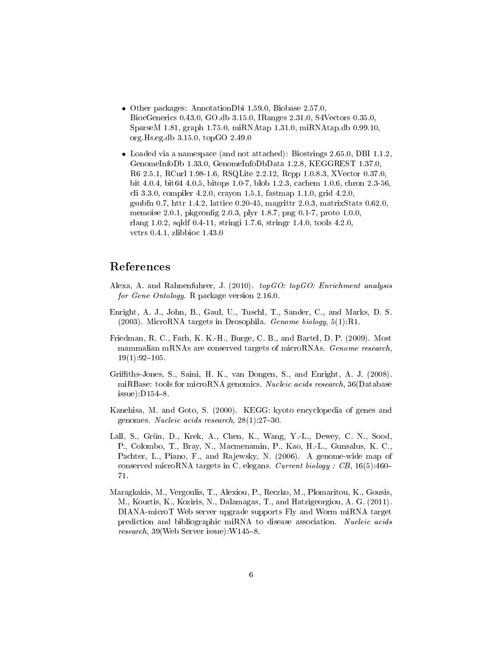- Other packages: AnnotationDbi 1.59.0, Biobase 2.57.0, BiocGenerics 0.43.0, GO.db 3.15.0, IRanges 2.31.0, S4Vectors 0.35.0, SparseM 1.81, graph 1.75.0, miRNAtap 1.31.0, miRNAtap.db 0.99.10, org.Hs.eg.db 3.15.0, topGO 2.49.0
- Loaded via a namespace (and not attached): Biostrings 2.65.0, DBI 1.1.2, GenomeInfoDb 1.33.0, GenomeInfoDbData 1.2.8, KEGGREST 1.37.0, R6 2.5.1, RCurl 1.98-1.6, RSQLite 2.2.12, Rcpp 1.0.8.3, XVector 0.37.0, bit 4.0.4, bit64 4.0.5, bitops 1.0-7, blob 1.2.3, cachem 1.0.6, chron 2.3-56, cli 3.3.0, compiler 4.2.0, crayon 1.5.1, fastmap 1.1.0, grid 4.2.0, gsubfn 0.7, httr 1.4.2, lattice 0.20-45, magrittr 2.0.3, matrixStats 0.62.0, memoise 2.0.1, pkgconfig 2.0.3, plyr 1.8.7, png 0.1-7, proto 1.0.0, rlang 1.0.2, sqldf 0.4-11, stringi 1.7.6, stringr 1.4.0, tools 4.2.0, vctrs 0.4.1, zlibbioc 1.43.0

#### References

- Alexa, A. and Rahnenfuhrer, J. (2010). topGO: topGO: Enrichment analysis for Gene Ontology. R package version 2.16.0.
- Enright, A. J., John, B., Gaul, U., Tuschl, T., Sander, C., and Marks, D. S. (2003). MicroRNA targets in Drosophila. Genome biology, 5(1):R1.
- Friedman, R. C., Farh, K. K.-H., Burge, C. B., and Bartel, D. P. (2009). Most mammalian mRNAs are conserved targets of microRNAs. Genome research,  $19(1):92-105.$
- Griths-Jones, S., Saini, H. K., van Dongen, S., and Enright, A. J. (2008). miRBase: tools for microRNA genomics. Nucleic acids research, 36(Database  $is sue)$ :  $D154-8$ .
- Kanehisa, M. and Goto, S. (2000). KEGG: kyoto encyclopedia of genes and genomes. Nucleic acids research,  $28(1):27-30$ .
- Lall, S., Grün, D., Krek, A., Chen, K., Wang, Y.-L., Dewey, C. N., Sood, P., Colombo, T., Bray, N., Macmenamin, P., Kao, H.-L., Gunsalus, K. C., Pachter, L., Piano, F., and Rajewsky, N. (2006). A genome-wide map of conserved microRNA targets in C. elegans. Current biology : CB,  $16(5)$ :460-71.
- Maragkakis, M., Vergoulis, T., Alexiou, P., Reczko, M., Plomaritou, K., Gousis, M., Kourtis, K., Koziris, N., Dalamagas, T., and Hatzigeorgiou, A. G. (2011). DIANA-microT Web server upgrade supports Fly and Worm miRNA target prediction and bibliographic miRNA to disease association. Nucleic acids research,  $39$ (Web Server issue): W145-8.